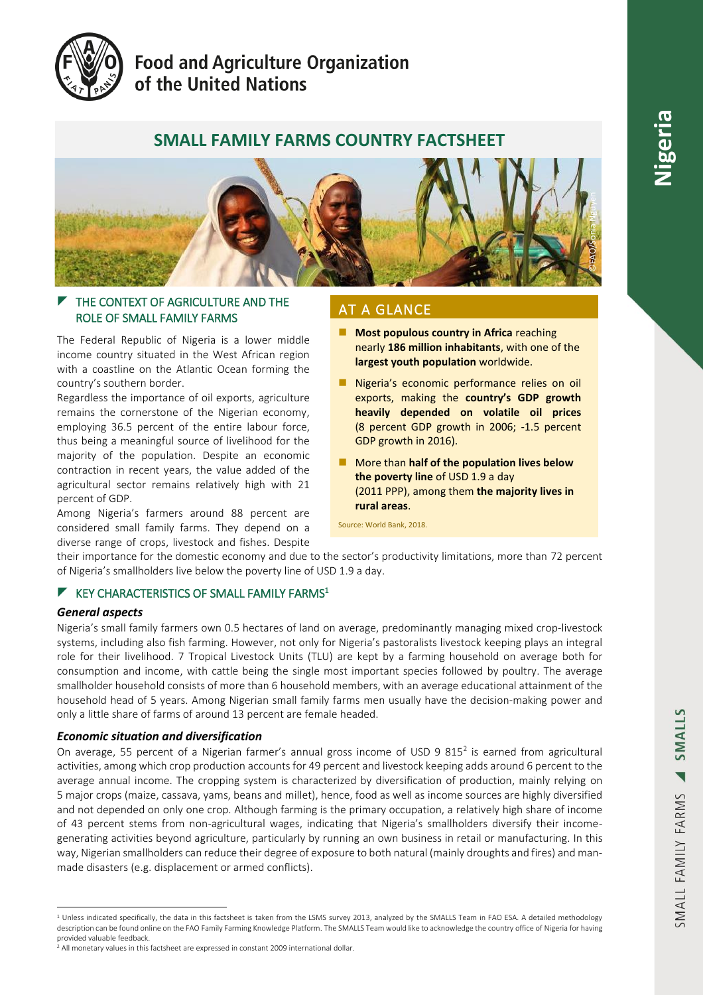

# **Food and Agriculture Organization** of the United Nations

# **SMALL FAMILY FARMS COUNTRY FACTSHEET**



# $\blacktriangleright$  THE CONTEXT OF AGRICULTURE AND THE ROLE OF SMALL FAMILY FARMS

The Federal Republic of Nigeria is a lower middle income country situated in the West African region with a coastline on the Atlantic Ocean forming the country's southern border.

Regardless the importance of oil exports, agriculture remains the cornerstone of the Nigerian economy, employing 36.5 percent of the entire labour force, thus being a meaningful source of livelihood for the majority of the population. Despite an economic contraction in recent years, the value added of the agricultural sector remains relatively high with 21 percent of GDP.

Among Nigeria's farmers around 88 percent are considered small family farms. They depend on a diverse range of crops, livestock and fishes. Despite

# AT A GLANCE

- **Most populous country in Africa reaching** nearly **186 million inhabitants**, with one of the **largest youth population** worldwide.
- Nigeria's economic performance relies on oil exports, making the **country's GDP growth heavily depended on volatile oil prices** (8 percent GDP growth in 2006; -1.5 percent GDP growth in 2016).
- More than **half of the population lives below the poverty line** of USD 1.9 a day (2011 PPP), among them **the majority lives in rural areas**.

Source: World Bank, 2018.

their importance for the domestic economy and due to the sector's productivity limitations, more than 72 percent of Nigeria's smallholders live below the poverty line of USD 1.9 a day.

# $\blacktriangleright$  KEY CHARACTERISTICS OF SMALL FAMILY FARMS<sup>1</sup>

## *General aspects*

Nigeria's small family farmers own 0.5 hectares of land on average, predominantly managing mixed crop-livestock systems, including also fish farming. However, not only for Nigeria's pastoralists livestock keeping plays an integral role for their livelihood. 7 Tropical Livestock Units (TLU) are kept by a farming household on average both for consumption and income, with cattle being the single most important species followed by poultry. The average smallholder household consists of more than 6 household members, with an average educational attainment of the household head of 5 years. Among Nigerian small family farms men usually have the decision-making power and only a little share of farms of around 13 percent are female headed.

# *Economic situation and diversification*

On average, 55 percent of a Nigerian farmer's annual gross income of USD 9 815<sup>2</sup> is earned from agricultural activities, among which crop production accounts for 49 percent and livestock keeping adds around 6 percent to the average annual income. The cropping system is characterized by diversification of production, mainly relying on 5 major crops (maize, cassava, yams, beans and millet), hence, food as well as income sources are highly diversified and not depended on only one crop. Although farming is the primary occupation, a relatively high share of income of 43 percent stems from non-agricultural wages, indicating that Nigeria's smallholders diversify their incomegenerating activities beyond agriculture, particularly by running an own business in retail or manufacturing. In this way, Nigerian smallholders can reduce their degree of exposure to both natural (mainly droughts and fires) and manmade disasters (e.g. displacement or armed conflicts).

<sup>&</sup>lt;sup>1</sup> Unless indicated specifically, the data in this factsheet is taken from the LSMS survey 2013, analyzed by the SMALLS Team in FAO ESA. A detailed methodology description can be found online on the FAO Family Farming Knowledge Platform. The SMALLS Team would like to acknowledge the country office of Nigeria for having provided valuable feedback.

<sup>2</sup> All monetary values in this factsheet are expressed in constant 2009 international dollar.